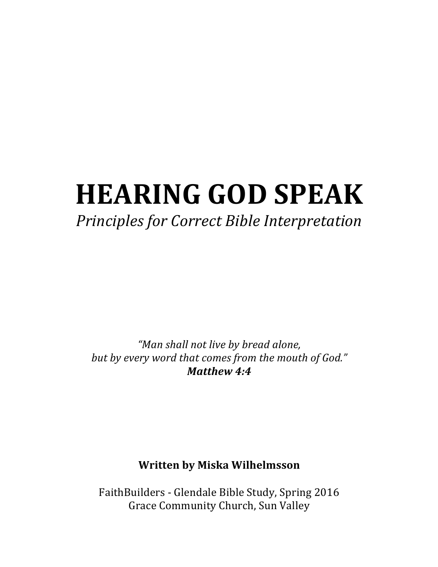# **HEARING GOD SPEAK**

# **Principles for Correct Bible Interpretation**

*"Man shall not live by bread alone,* but by every word that comes from the mouth of God." *Matthew 4:4*

**Written by Miska Wilhelmsson**

FaithBuilders - Glendale Bible Study, Spring 2016 Grace Community Church, Sun Valley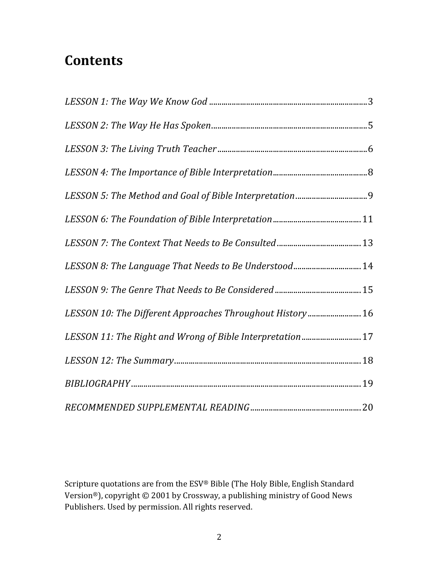# **Contents**

| LESSON 8: The Language That Needs to Be Understood 14      |  |
|------------------------------------------------------------|--|
|                                                            |  |
| LESSON 10: The Different Approaches Throughout History  16 |  |
| LESSON 11: The Right and Wrong of Bible Interpretation 17  |  |
|                                                            |  |
|                                                            |  |
|                                                            |  |

Scripture quotations are from the ESV® Bible (The Holy Bible, English Standard Version®), copyright © 2001 by Crossway, a publishing ministry of Good News Publishers. Used by permission. All rights reserved.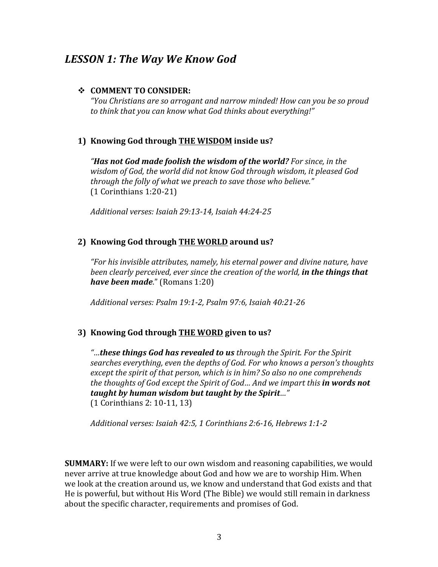# *LESSON 1: The Way We Know God*

## **❖ COMMENT TO CONSIDER:**

*"You Christians are so arrogant and narrow minded! How can you be so proud*  to think that you can know what God thinks about everything!"

## **1) Knowing God through THE WISDOM inside us?**

"**Has not God made foolish the wisdom of the world?** For since, in the wisdom of God, the world did not know God through wisdom, it pleased God through the folly of what we preach to save those who believe."  $(1$  Corinthians  $1:20-21$ )

*Additional verses: Isaiah 29:13-14, Isaiah 44:24-25*

## **2) Knowing God through THE WORLD around us?**

*"For his invisible attributes, namely, his eternal power and divine nature, have been clearly perceived, ever since the creation of the world, in the things that have been made.*" (Romans 1:20)

*Additional verses: Psalm 19:1-2, Psalm 97:6, Isaiah 40:21-26*

## **3) Knowing God through THE WORD given to us?**

"...these things God has revealed to us through the Spirit. For the Spirit *searches everything, even the depths of God. For who knows a person's thoughts except* the spirit of that person, which is in him? So also no one comprehends *the thoughts of God except the Spirit of God... And we impart this in words not taught by human wisdom but taught by the Spirit..."* (1 Corinthians 2: 10-11, 13)

*Additional verses: Isaiah 42:5, 1 Corinthians 2:6-16, Hebrews 1:1-2*

**SUMMARY:** If we were left to our own wisdom and reasoning capabilities, we would never arrive at true knowledge about God and how we are to worship Him. When we look at the creation around us, we know and understand that God exists and that He is powerful, but without His Word (The Bible) we would still remain in darkness about the specific character, requirements and promises of God.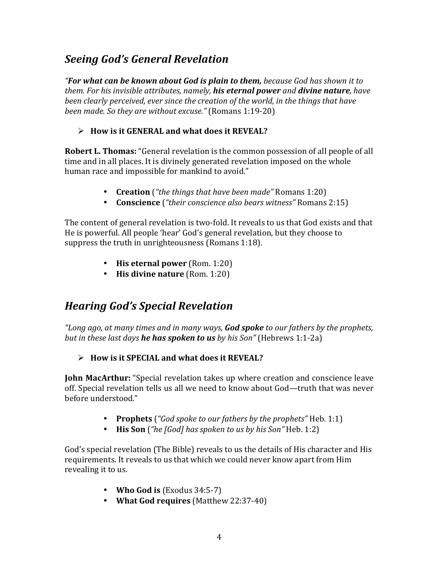# *Seeing God's General Revelation*

**"For what can be known about God is plain to them,** because God has shown it to *them.* For his invisible attributes, namely, **his eternal power** and **divine nature**, have *been clearly perceived, ever since the creation of the world, in the things that have been made.* So they are without excuse." (Romans 1:19-20)

# $\triangleright$  How is it GENERAL and what does it REVEAL?

**Robert L. Thomas:** "General revelation is the common possession of all people of all time and in all places. It is divinely generated revelation imposed on the whole human race and impossible for mankind to avoid."

- **Creation** (*"the things that have been made"* Romans 1:20)
- **Conscience** (*"their conscience also bears witness"* Romans 2:15)

The content of general revelation is two-fold. It reveals to us that God exists and that He is powerful. All people 'hear' God's general revelation, but they choose to suppress the truth in unrighteousness (Romans  $1:18$ ).

- **His eternal power** (Rom. 1:20)
- **His divine nature** (Rom. 1:20)

# *Hearing God's Special Revelation*

*"Long ago, at many times and in many ways, God spoke to our fathers by the prophets, but* in these last days **he has spoken to us** by his Son" (Hebrews 1:1-2a)

# Ø **How is it SPECIAL and what does it REVEAL?**

**John MacArthur:** "Special revelation takes up where creation and conscience leave off. Special revelation tells us all we need to know about God—truth that was never before understood."

- **Prophets** ("God spoke to our fathers by the prophets" Heb. 1:1)
- **His Son** (*"he [God]* has spoken to us by his Son" Heb. 1:2)

God's special revelation (The Bible) reveals to us the details of His character and His requirements. It reveals to us that which we could never know apart from Him revealing it to us.

- **Who God is** (Exodus 34:5-7)
- **What God requires** (Matthew 22:37-40)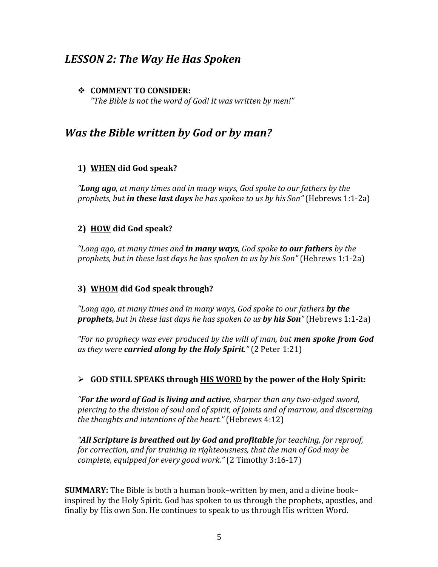# *LESSON 2: The Way He Has Spoken*

## **❖ COMMENT TO CONSIDER:**

"The Bible is not the word of God! It was written by men!"

# *Was the Bible written by God or by man?*

## **1) WHEN did God speak?**

**"Long ago**, at many times and in many ways, God spoke to our fathers by the *prophets, but in these last days he has spoken to us by his Son"* (Hebrews 1:1-2a)

## **2) HOW did God speak?**

*"Long ago, at many times and in many ways, God spoke to our fathers by the prophets, but in these last days he has spoken to us by his Son"* (Hebrews 1:1-2a)

## **3) WHOM did God speak through?**

*"Long ago, at many times and in many ways, God spoke to our fathers by the prophets,* but in these last days he has spoken to us by his Son" (Hebrews 1:1-2a)

*"For no prophecy was ever produced by the will of man, but men spoke from God as they were carried along by the Holy Spirit." (2 Peter 1:21)* 

#### Ø **GOD STILL SPEAKS through HIS WORD by the power of the Holy Spirit:**

*"For the word of God is living and active, sharper than any two-edged sword,* piercing to the division of soul and of spirit, of joints and of marrow, and discerning *the thoughts and intentions of the heart."* (Hebrews 4:12)

**"All Scripture is breathed out by God and profitable** for teaching, for reproof, *for correction, and for training in righteousness, that the man of God may be complete, equipped for every good work."* (2 Timothy 3:16-17)

**SUMMARY:** The Bible is both a human book–written by men, and a divine book– inspired by the Holy Spirit. God has spoken to us through the prophets, apostles, and finally by His own Son. He continues to speak to us through His written Word.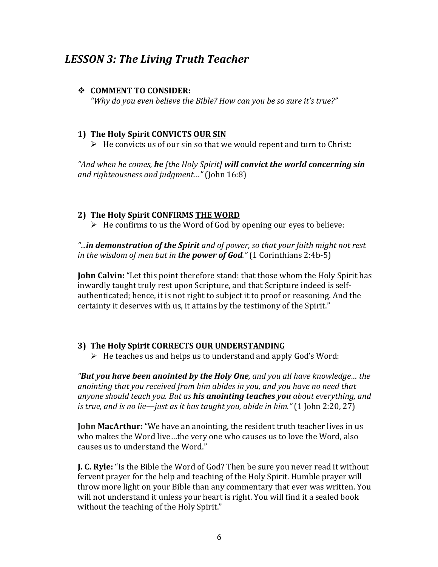# *LESSON 3: The Living Truth Teacher*

#### **❖ COMMENT TO CONSIDER:**

*"Why do you even believe the Bible? How can you be so sure it's true?"*

#### **1)** The Holy Spirit CONVICTS OUR SIN

 $\triangleright$  He convicts us of our sin so that we would repent and turn to Christ:

"And when he comes, he [the Holy Spirit] will convict the world concerning sin *and righteousness and judgment..."* (John 16:8)

#### **2)** The Holy Spirit CONFIRMS THE WORD

 $\triangleright$  He confirms to us the Word of God by opening our eves to believe:

*"...in demonstration of the Spirit and of power, so that your faith might not rest in the wisdom of men but in the power of God." (1 Corinthians 2:4b-5)* 

**John Calvin:** "Let this point therefore stand: that those whom the Holy Spirit has inwardly taught truly rest upon Scripture, and that Scripture indeed is selfauthenticated; hence, it is not right to subject it to proof or reasoning. And the certainty it deserves with us, it attains by the testimony of the Spirit."

#### **3)** The Holy Spirit CORRECTS OUR UNDERSTANDING

 $\triangleright$  He teaches us and helps us to understand and apply God's Word:

*"But you have been anointed by the Holy One, and you all have knowledge... the anointing that you received from him abides in you, and you have no need that anyone should teach you. But as his anointing teaches you about everything, and is true, and is no lie—just as it has taught you, abide in him."* (1 John 2:20, 27)

**John MacArthur:** "We have an anointing, the resident truth teacher lives in us who makes the Word live...the very one who causes us to love the Word, also causes us to understand the Word."

**J. C. Ryle:** "Is the Bible the Word of God? Then be sure you never read it without fervent prayer for the help and teaching of the Holy Spirit. Humble prayer will throw more light on your Bible than any commentary that ever was written. You will not understand it unless your heart is right. You will find it a sealed book without the teaching of the Holy Spirit."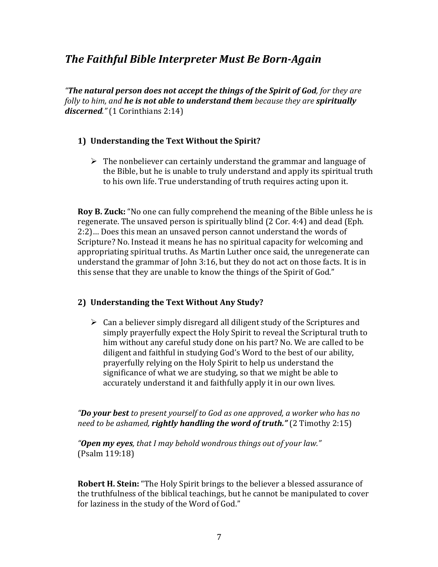# *The Faithful Bible Interpreter Must Be Born-Again*

**"The natural person does not accept the things of the Spirit of God, for they are** *folly to him, and he is not able to understand them because they are spiritually* discerned." (1 Corinthians 2:14)

## **1) Understanding the Text Without the Spirit?**

 $\triangleright$  The nonbeliever can certainly understand the grammar and language of the Bible, but he is unable to truly understand and apply its spiritual truth to his own life. True understanding of truth requires acting upon it.

**Roy B. Zuck:** "No one can fully comprehend the meaning of the Bible unless he is regenerate. The unsaved person is spiritually blind  $(2 \text{ Cor. } 4:4)$  and dead  $(\text{Eph. } 4:4)$ 2:2)... Does this mean an unsaved person cannot understand the words of Scripture? No. Instead it means he has no spiritual capacity for welcoming and appropriating spiritual truths. As Martin Luther once said, the unregenerate can understand the grammar of John  $3:16$ , but they do not act on those facts. It is in this sense that they are unable to know the things of the Spirit of God."

## **2) Understanding the Text Without Any Study?**

 $\triangleright$  Can a believer simply disregard all diligent study of the Scriptures and simply prayerfully expect the Holy Spirit to reveal the Scriptural truth to him without any careful study done on his part? No. We are called to be diligent and faithful in studying God's Word to the best of our ability, prayerfully relying on the Holy Spirit to help us understand the significance of what we are studying, so that we might be able to accurately understand it and faithfully apply it in our own lives.

**"Do your best** to present yourself to God as one approved, a worker who has no *need to be ashamed, rightly handling the word of truth." (2 Timothy 2:15)* 

*"Open my eyes, that I may behold wondrous things out of your law."* (Psalm 119:18)

**Robert H. Stein:** "The Holy Spirit brings to the believer a blessed assurance of the truthfulness of the biblical teachings, but he cannot be manipulated to cover for laziness in the study of the Word of God."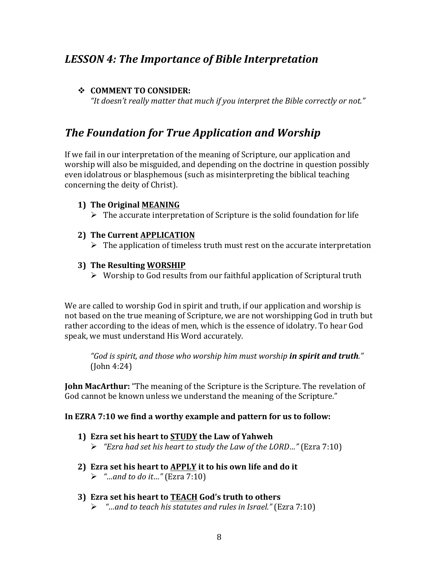# *LESSON 4: The Importance of Bible Interpretation*

## **❖ COMMENT TO CONSIDER:**

"It doesn't really matter that much if you interpret the Bible correctly or not."

# **The Foundation for True Application and Worship**

If we fail in our interpretation of the meaning of Scripture, our application and worship will also be misguided, and depending on the doctrine in question possibly even idolatrous or blasphemous (such as misinterpreting the biblical teaching concerning the deity of Christ).

## **1)** The Original MEANING

 $\triangleright$  The accurate interpretation of Scripture is the solid foundation for life

## **2)** The Current APPLICATION

 $\triangleright$  The application of timeless truth must rest on the accurate interpretation

## **3)** The Resulting WORSHIP

 $\triangleright$  Worship to God results from our faithful application of Scriptural truth

We are called to worship God in spirit and truth, if our application and worship is not based on the true meaning of Scripture, we are not worshipping God in truth but rather according to the ideas of men, which is the essence of idolatry. To hear God speak, we must understand His Word accurately.

*"God is spirit, and those who worship him must worship in spirit and truth."*  $(John 4:24)$ 

**John MacArthur:** "The meaning of the Scripture is the Scripture. The revelation of God cannot be known unless we understand the meaning of the Scripture."

#### In EZRA 7:10 we find a worthy example and pattern for us to follow:

## **1) Ezra set his heart to STUDY the Law of Yahweh** Ø *"Ezra had set his heart to study the Law of the LORD…"* (Ezra 7:10)

**2) Ezra set his heart to APPLY it to his own life and do it**  $\triangleright$  "...and to do it..." (Ezra 7:10)

# **3) Ezra set his heart to TEACH God's truth to others**

Ø *"…and to teach his statutes and rules in Israel."* (Ezra 7:10)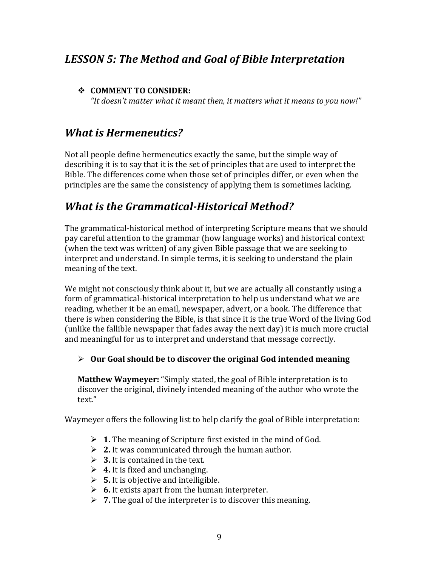# *LESSON 5: The Method and Goal of Bible Interpretation*

## **❖ COMMENT TO CONSIDER:**

*"It doesn't matter what it meant then, it matters what it means to you now!"*

# *What is Hermeneutics?*

Not all people define hermeneutics exactly the same, but the simple way of describing it is to say that it is the set of principles that are used to interpret the Bible. The differences come when those set of principles differ, or even when the principles are the same the consistency of applying them is sometimes lacking.

# *What is the Grammatical-Historical Method?*

The grammatical-historical method of interpreting Scripture means that we should pay careful attention to the grammar (how language works) and historical context (when the text was written) of any given Bible passage that we are seeking to interpret and understand. In simple terms, it is seeking to understand the plain meaning of the text.

We might not consciously think about it, but we are actually all constantly using a form of grammatical-historical interpretation to help us understand what we are reading, whether it be an email, newspaper, advert, or a book. The difference that there is when considering the Bible, is that since it is the true Word of the living God (unlike the fallible newspaper that fades away the next day) it is much more crucial and meaningful for us to interpret and understand that message correctly.

## $\triangleright$  Our Goal should be to discover the original God intended meaning

**Matthew Waymeyer:** "Simply stated, the goal of Bible interpretation is to discover the original, divinely intended meaning of the author who wrote the text."

Waymeyer offers the following list to help clarify the goal of Bible interpretation:

- $\triangleright$  **1.** The meaning of Scripture first existed in the mind of God.
- $\geq 2$ . It was communicated through the human author.
- $\geq 3$ . It is contained in the text.
- $\triangleright$  **4.** It is fixed and unchanging.
- $\triangleright$  5. It is objective and intelligible.
- $\triangleright$  **6.** It exists apart from the human interpreter.
- $\triangleright$  **7.** The goal of the interpreter is to discover this meaning.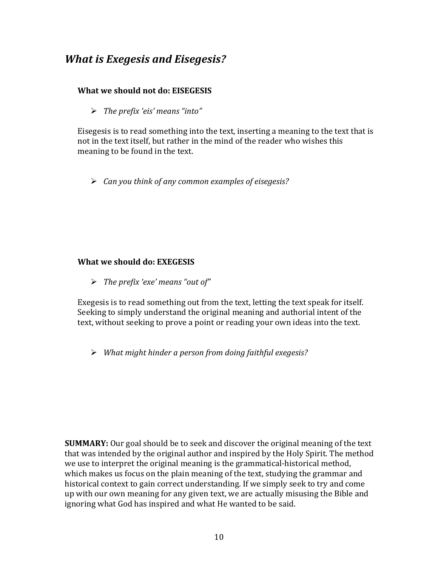# *What is Exegesis and Eisegesis?*

## **What we should not do: EISEGESIS**

Ø *The prefix 'eis' means "into"*

Eisegesis is to read something into the text, inserting a meaning to the text that is not in the text itself, but rather in the mind of the reader who wishes this meaning to be found in the text.

Ø *Can you think of any common examples of eisegesis?*

## **What we should do: EXEGESIS**

> The prefix 'exe' means "out of"

Exegesis is to read something out from the text, letting the text speak for itself. Seeking to simply understand the original meaning and authorial intent of the text, without seeking to prove a point or reading your own ideas into the text.

Ø *What might hinder a person from doing faithful exegesis?*

**SUMMARY:** Our goal should be to seek and discover the original meaning of the text that was intended by the original author and inspired by the Holy Spirit. The method we use to interpret the original meaning is the grammatical-historical method, which makes us focus on the plain meaning of the text, studying the grammar and historical context to gain correct understanding. If we simply seek to try and come up with our own meaning for any given text, we are actually misusing the Bible and ignoring what God has inspired and what He wanted to be said.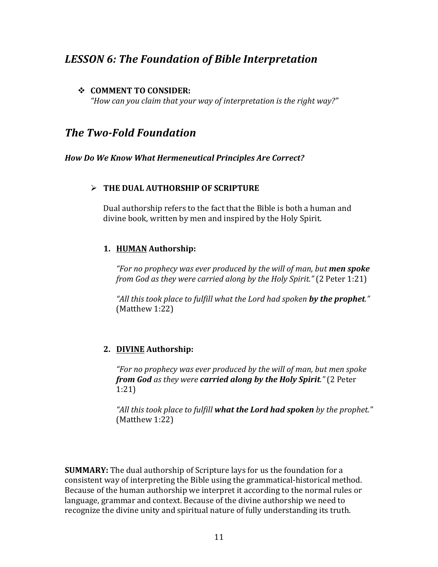# *LESSON 6: The Foundation of Bible Interpretation*

## **❖ COMMENT TO CONSIDER:**

*"How can you claim that your way of interpretation is the right way?"*

# *The Two-Fold Foundation*

*How Do We Know What Hermeneutical Principles Are Correct?*

## **EXAMPLE DUAL AUTHORSHIP OF SCRIPTURE**

Dual authorship refers to the fact that the Bible is both a human and divine book, written by men and inspired by the Holy Spirit.

## **1. HUMAN Authorship:**

*"For no prophecy was ever produced by the will of man, but men spoke from God as they were carried along by the Holy Spirit."* (2 Peter 1:21)

"All this took place to fulfill what the Lord had spoken **by the prophet**."  $(Mat$ thew 1:22)

## **2. DIVINE Authorship:**

"For no prophecy was ever produced by the will of man, but men spoke *from God as they were carried along by the Holy Spirit."* (2 Peter 1:21)

"All this took place to fulfill **what the Lord had spoken** by the prophet."  $(Mat$ thew 1:22)

**SUMMARY:** The dual authorship of Scripture lays for us the foundation for a consistent way of interpreting the Bible using the grammatical-historical method. Because of the human authorship we interpret it according to the normal rules or language, grammar and context. Because of the divine authorship we need to recognize the divine unity and spiritual nature of fully understanding its truth.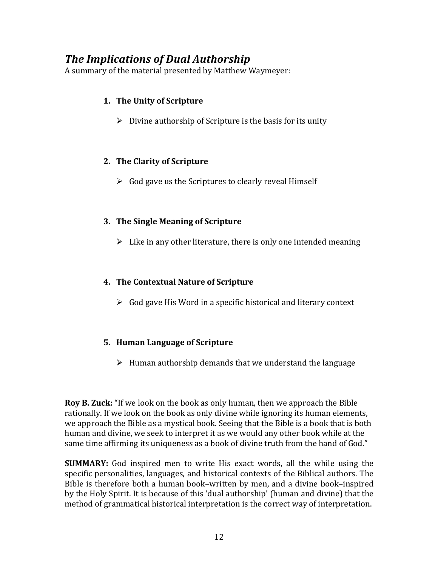# **The Implications of Dual Authorship**

A summary of the material presented by Matthew Waymeyer:

## **1.** The Unity of Scripture

 $\triangleright$  Divine authorship of Scripture is the basis for its unity

## **2. The Clarity of Scripture**

 $\triangleright$  God gave us the Scriptures to clearly reveal Himself

## **3.** The Single Meaning of Scripture

 $\triangleright$  Like in any other literature, there is only one intended meaning

# **4.** The Contextual Nature of Scripture

 $\triangleright$  God gave His Word in a specific historical and literary context

# **5. Human Language of Scripture**

 $\triangleright$  Human authorship demands that we understand the language

**Roy B. Zuck:** "If we look on the book as only human, then we approach the Bible rationally. If we look on the book as only divine while ignoring its human elements, we approach the Bible as a mystical book. Seeing that the Bible is a book that is both human and divine, we seek to interpret it as we would any other book while at the same time affirming its uniqueness as a book of divine truth from the hand of God."

**SUMMARY:** God inspired men to write His exact words, all the while using the specific personalities, languages, and historical contexts of the Biblical authors. The Bible is therefore both a human book–written by men, and a divine book–inspired by the Holy Spirit. It is because of this 'dual authorship' (human and divine) that the method of grammatical historical interpretation is the correct way of interpretation.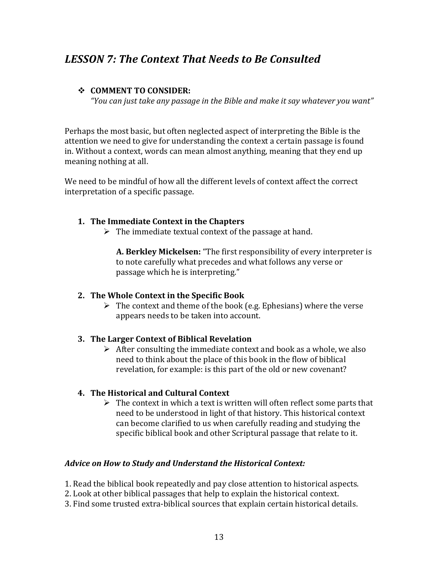# *LESSON 7: The Context That Needs to Be Consulted*

## **❖ COMMENT TO CONSIDER:**

*"You can just take any passage in the Bible and make it say whatever you want"*

Perhaps the most basic, but often neglected aspect of interpreting the Bible is the attention we need to give for understanding the context a certain passage is found in. Without a context, words can mean almost anything, meaning that they end up meaning nothing at all.

We need to be mindful of how all the different levels of context affect the correct interpretation of a specific passage.

#### **1.** The Immediate Context in the Chapters

 $\triangleright$  The immediate textual context of the passage at hand.

**A. Berkley Mickelsen:** "The first responsibility of every interpreter is to note carefully what precedes and what follows any verse or passage which he is interpreting."

#### **2. The Whole Context in the Specific Book**

 $\triangleright$  The context and theme of the book (e.g. Ephesians) where the verse appears needs to be taken into account.

## **3. The Larger Context of Biblical Revelation**

 $\triangleright$  After consulting the immediate context and book as a whole, we also need to think about the place of this book in the flow of biblical revelation, for example: is this part of the old or new covenant?

## **4. The Historical and Cultural Context**

 $\triangleright$  The context in which a text is written will often reflect some parts that need to be understood in light of that history. This historical context can become clarified to us when carefully reading and studying the specific biblical book and other Scriptural passage that relate to it.

#### Advice on How to Study and Understand the Historical Context:

- 1. Read the biblical book repeatedly and pay close attention to historical aspects.
- 2. Look at other biblical passages that help to explain the historical context.
- 3. Find some trusted extra-biblical sources that explain certain historical details.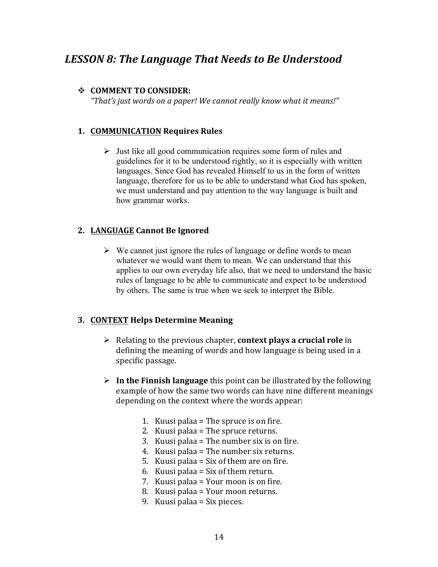# LESSON 8: The Language That Needs to Be Understood

#### **❖ COMMENT TO CONSIDER:**

"That's just words on a paper! We cannot really know what it means!"

#### **1. COMMUNICATION Requires Rules**

 $\triangleright$  Just like all good communication requires some form of rules and guidelines for it to be understood rightly, so it is especially with written languages. Since God has revealed Himself to us in the form of written language, therefore for us to be able to understand what God has spoken, we must understand and pay attention to the way language is built and how grammar works.

#### **2. LANGUAGE Cannot Be Ignored**

 $\triangleright$  We cannot just ignore the rules of language or define words to mean whatever we would want them to mean. We can understand that this applies to our own everyday life also, that we need to understand the basic rules of language to be able to communicate and expect to be understood by others. The same is true when we seek to interpret the Bible.

#### **3. CONTEXT Helps Determine Meaning**

- $\triangleright$  Relating to the previous chapter, **context plays a crucial role** in defining the meaning of words and how language is being used in a specific passage.
- $\triangleright$  In the Finnish language this point can be illustrated by the following example of how the same two words can have nine different meanings depending on the context where the words appear:
	- 1. Kuusi palaa = The spruce is on fire.
	- 2. Kuusi palaa = The spruce returns.
	- 3. Kuusi palaa = The number six is on fire.
	- 4. Kuusi palaa = The number six returns.
	- 5. Kuusi palaa =  $Six$  of them are on fire.
	- 6. Kuusi palaa =  $Six$  of them return.
	- 7. Kuusi palaa = Your moon is on fire.
	- 8. Kuusi palaa = Your moon returns.
	- 9. Kuusi palaa =  $Six$  pieces.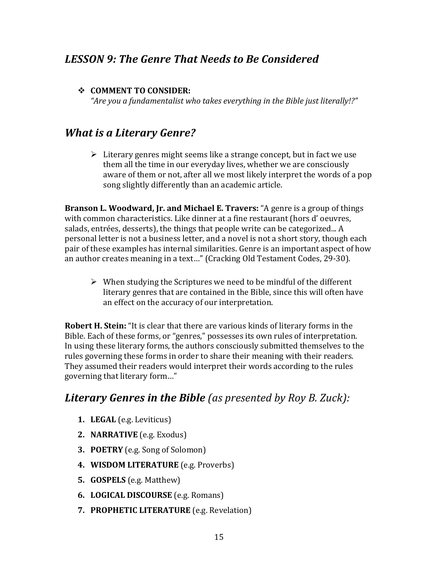# *LESSON 9: The Genre That Needs to Be Considered*

## **❖ COMMENT TO CONSIDER:**

"Are you a fundamentalist who takes everything in the Bible just literally!?"

# *What is a Literary Genre?*

 $\triangleright$  Literary genres might seems like a strange concept, but in fact we use them all the time in our everyday lives, whether we are consciously aware of them or not, after all we most likely interpret the words of a pop song slightly differently than an academic article.

**Branson L. Woodward, Jr. and Michael E. Travers:** "A genre is a group of things with common characteristics. Like dinner at a fine restaurant (hors d' oeuvres, salads, entrées, desserts), the things that people write can be categorized... A personal letter is not a business letter, and a novel is not a short story, though each pair of these examples has internal similarities. Genre is an important aspect of how an author creates meaning in a text..." (Cracking Old Testament Codes, 29-30).

 $\triangleright$  When studying the Scriptures we need to be mindful of the different literary genres that are contained in the Bible, since this will often have an effect on the accuracy of our interpretation.

**Robert H. Stein:** "It is clear that there are various kinds of literary forms in the Bible. Each of these forms, or "genres," possesses its own rules of interpretation. In using these literary forms, the authors consciously submitted themselves to the rules governing these forms in order to share their meaning with their readers. They assumed their readers would interpret their words according to the rules governing that literary form..."

# *Literary Genres in the Bible (as presented by Roy B. Zuck):*

- **1. LEGAL** (e.g. Leviticus)
- **2. NARRATIVE** (e.g. Exodus)
- **3. POETRY** (e.g. Song of Solomon)
- **4. WISDOM LITERATURE** (e.g. Proverbs)
- **5. GOSPELS** (e.g. Matthew)
- **6. LOGICAL DISCOURSE** (e.g. Romans)
- **7. PROPHETIC LITERATURE** (e.g. Revelation)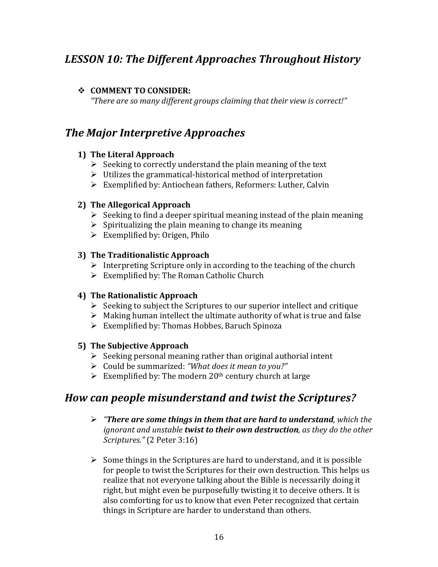# LESSON 10: The Different Approaches Throughout History

## **❖ COMMENT TO CONSIDER:**

*"There are so many different groups claiming that their view is correct!"*

# *The Major Interpretive Approaches*

#### **1) The Literal Approach**

- $\triangleright$  Seeking to correctly understand the plain meaning of the text
- $\triangleright$  Utilizes the grammatical-historical method of interpretation
- $\triangleright$  Exemplified by: Antiochean fathers, Reformers: Luther, Calvin

#### **2) The Allegorical Approach**

- $\triangleright$  Seeking to find a deeper spiritual meaning instead of the plain meaning
- $\triangleright$  Spiritualizing the plain meaning to change its meaning
- $\triangleright$  Exemplified by: Origen, Philo

#### **3) The Traditionalistic Approach**

- $\triangleright$  Interpreting Scripture only in according to the teaching of the church
- $\triangleright$  Exemplified by: The Roman Catholic Church

#### **4) The Rationalistic Approach**

- $\triangleright$  Seeking to subject the Scriptures to our superior intellect and critique
- $\triangleright$  Making human intellect the ultimate authority of what is true and false
- $\triangleright$  Exemplified by: Thomas Hobbes, Baruch Spinoza

#### **5)** The Subjective Approach

- $\triangleright$  Seeking personal meaning rather than original authorial intent
- Ø Could be summarized: *"What does it mean to you?"*
- Exemplified by: The modern  $20<sup>th</sup>$  century church at large

# *How can people misunderstand and twist the Scriptures?*

- **►** "There are some things in them that are hard to understand, which the *ignorant and unstable twist to their own destruction, as they do the other Scriptures."* (2 Peter 3:16)
- $\triangleright$  Some things in the Scriptures are hard to understand, and it is possible for people to twist the Scriptures for their own destruction. This helps us realize that not everyone talking about the Bible is necessarily doing it right, but might even be purposefully twisting it to deceive others. It is also comforting for us to know that even Peter recognized that certain things in Scripture are harder to understand than others.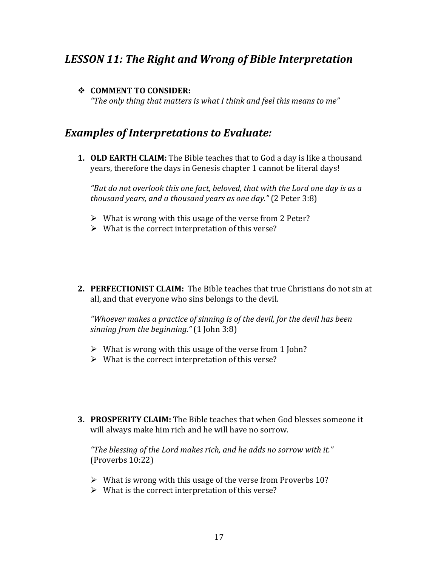# *LESSON* 11: The Right and Wrong of Bible Interpretation

## **❖ COMMENT TO CONSIDER:**

"The only thing that matters is what I think and feel this means to me"

# **Examples of Interpretations to Evaluate:**

**1. OLD EARTH CLAIM:** The Bible teaches that to God a day is like a thousand years, therefore the days in Genesis chapter 1 cannot be literal days!

*"But do not overlook this one fact, beloved, that with the Lord one day is as a thousand years, and a thousand years as one day."* (2 Peter 3:8)

- $\triangleright$  What is wrong with this usage of the verse from 2 Peter?
- $\triangleright$  What is the correct interpretation of this verse?
- **2. PERFECTIONIST CLAIM:** The Bible teaches that true Christians do not sin at all, and that everyone who sins belongs to the devil.

"Whoever makes a practice of sinning is of the devil, for the devil has been *sinning from the beginning."* (1 John 3:8)

- $\triangleright$  What is wrong with this usage of the verse from 1 John?
- $\triangleright$  What is the correct interpretation of this verse?
- **3. PROSPERITY CLAIM:** The Bible teaches that when God blesses someone it will always make him rich and he will have no sorrow.

"The blessing of the Lord makes rich, and he adds no sorrow with it." (Proverbs 10:22)

- $\triangleright$  What is wrong with this usage of the verse from Proverbs 10?
- $\triangleright$  What is the correct interpretation of this verse?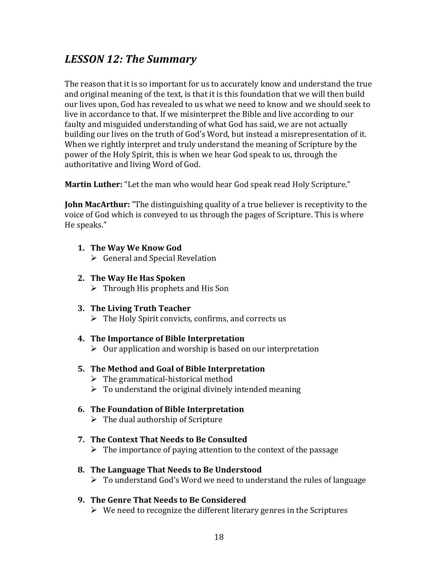# *LESSON 12: The Summary*

The reason that it is so important for us to accurately know and understand the true and original meaning of the text, is that it is this foundation that we will then build our lives upon, God has revealed to us what we need to know and we should seek to live in accordance to that. If we misinterpret the Bible and live according to our faulty and misguided understanding of what God has said, we are not actually building our lives on the truth of God's Word, but instead a misrepresentation of it. When we rightly interpret and truly understand the meaning of Scripture by the power of the Holy Spirit, this is when we hear God speak to us, through the authoritative and living Word of God.

**Martin Luther:** "Let the man who would hear God speak read Holy Scripture."

**John MacArthur:** "The distinguishing quality of a true believer is receptivity to the voice of God which is conveyed to us through the pages of Scripture. This is where He speaks."

- **1.** The Way We Know God
	- $\triangleright$  General and Special Revelation
- **2. The Way He Has Spoken**
	- $\triangleright$  Through His prophets and His Son

#### **3.** The Living Truth Teacher

 $\triangleright$  The Holy Spirit convicts, confirms, and corrects us

#### **4.** The Importance of Bible Interpretation

 $\triangleright$  Our application and worship is based on our interpretation

#### **5. The Method and Goal of Bible Interpretation**

- $\triangleright$  The grammatical-historical method
- $\triangleright$  To understand the original divinely intended meaning

## **6. The Foundation of Bible Interpretation**

 $\triangleright$  The dual authorship of Scripture

## **7.** The Context That Needs to Be Consulted

 $\triangleright$  The importance of paying attention to the context of the passage

#### **8. The Language That Needs to Be Understood**

 $\triangleright$  To understand God's Word we need to understand the rules of language

## **9. The Genre That Needs to Be Considered**

 $\triangleright$  We need to recognize the different literary genres in the Scriptures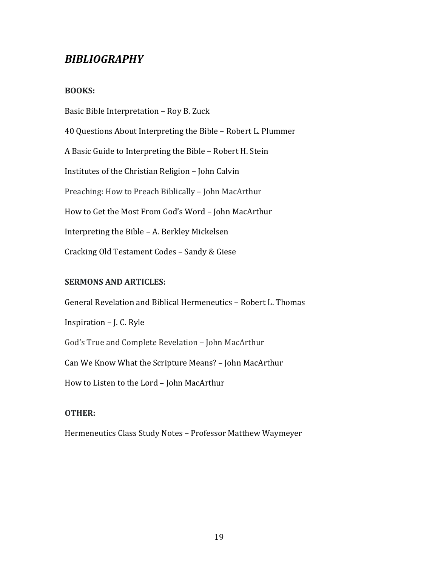# *BIBLIOGRAPHY*

#### **BOOKS:**

Basic Bible Interpretation - Roy B. Zuck 40 Questions About Interpreting the Bible - Robert L. Plummer A Basic Guide to Interpreting the Bible – Robert H. Stein Institutes of the Christian Religion - John Calvin Preaching: How to Preach Biblically - John MacArthur How to Get the Most From God's Word - John MacArthur Interpreting the Bible - A. Berkley Mickelsen Cracking Old Testament Codes - Sandy & Giese

#### **SERMONS AND ARTICLES:**

General Revelation and Biblical Hermeneutics - Robert L. Thomas Inspiration  $-$  J. C. Ryle God's True and Complete Revelation - John MacArthur Can We Know What the Scripture Means? - John MacArthur How to Listen to the Lord - John MacArthur

#### **OTHER:**

Hermeneutics Class Study Notes - Professor Matthew Waymeyer